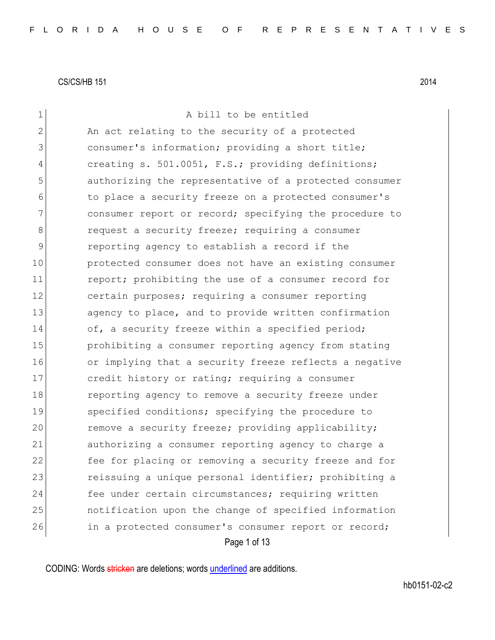| 1            | A bill to be entitled                                  |
|--------------|--------------------------------------------------------|
| $\mathbf{2}$ | An act relating to the security of a protected         |
| 3            | consumer's information; providing a short title;       |
| 4            | creating s. 501.0051, F.S.; providing definitions;     |
| 5            | authorizing the representative of a protected consumer |
| 6            | to place a security freeze on a protected consumer's   |
| 7            | consumer report or record; specifying the procedure to |
| 8            | request a security freeze; requiring a consumer        |
| 9            | reporting agency to establish a record if the          |
| 10           | protected consumer does not have an existing consumer  |
| 11           | report; prohibiting the use of a consumer record for   |
| 12           | certain purposes; requiring a consumer reporting       |
| 13           | agency to place, and to provide written confirmation   |
| 14           | of, a security freeze within a specified period;       |
| 15           | prohibiting a consumer reporting agency from stating   |
| 16           | or implying that a security freeze reflects a negative |
| 17           | credit history or rating; requiring a consumer         |
| 18           | reporting agency to remove a security freeze under     |
| 19           | specified conditions; specifying the procedure to      |
| 20           | remove a security freeze; providing applicability;     |
| 21           | authorizing a consumer reporting agency to charge a    |
| 22           | fee for placing or removing a security freeze and for  |
| 23           | reissuing a unique personal identifier; prohibiting a  |
| 24           | fee under certain circumstances; requiring written     |
| 25           | notification upon the change of specified information  |
| 26           | in a protected consumer's consumer report or record;   |
|              | Page 1 of 13                                           |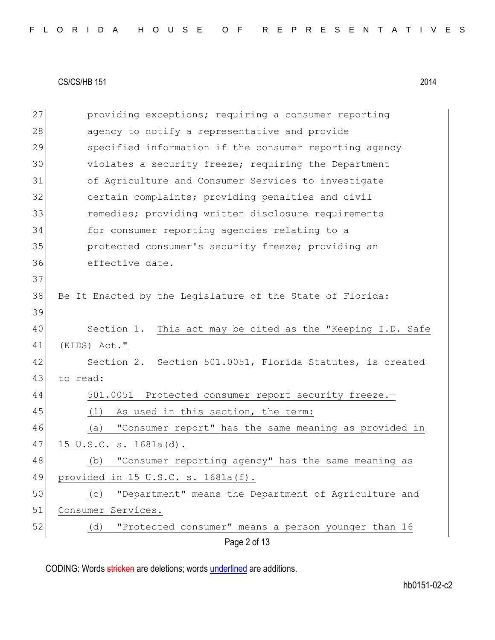|  |  |  |  |  |  |  |  | FLORIDA HOUSE OF REPRESENTATIVES |  |  |  |  |  |  |  |  |  |  |  |  |  |  |  |  |  |  |  |  |  |  |  |  |  |  |
|--|--|--|--|--|--|--|--|----------------------------------|--|--|--|--|--|--|--|--|--|--|--|--|--|--|--|--|--|--|--|--|--|--|--|--|--|--|
|--|--|--|--|--|--|--|--|----------------------------------|--|--|--|--|--|--|--|--|--|--|--|--|--|--|--|--|--|--|--|--|--|--|--|--|--|--|

Page 2 of 13 27 providing exceptions; requiring a consumer reporting 28 agency to notify a representative and provide 29 Specified information if the consumer reporting agency 30 violates a security freeze; requiring the Department 31 of Agriculture and Consumer Services to investigate 32 **certain complaints;** providing penalties and civil 33 remedies; providing written disclosure requirements 34 for consumer reporting agencies relating to a 35 protected consumer's security freeze; providing an 36 effective date. 37 38 Be It Enacted by the Legislature of the State of Florida: 39 40 Section 1. This act may be cited as the "Keeping I.D. Safe 41 (KIDS) Act." 42 Section 2. Section 501.0051, Florida Statutes, is created 43 to read: 44 501.0051 Protected consumer report security freeze.-45 (1) As used in this section, the term: 46 (a) "Consumer report" has the same meaning as provided in 47 15 U.S.C. s. 1681a(d). 48 (b) "Consumer reporting agency" has the same meaning as 49 provided in 15 U.S.C. s. 1681a(f). 50 (c) "Department" means the Department of Agriculture and 51 Consumer Services. 52 (d) "Protected consumer" means a person younger than 16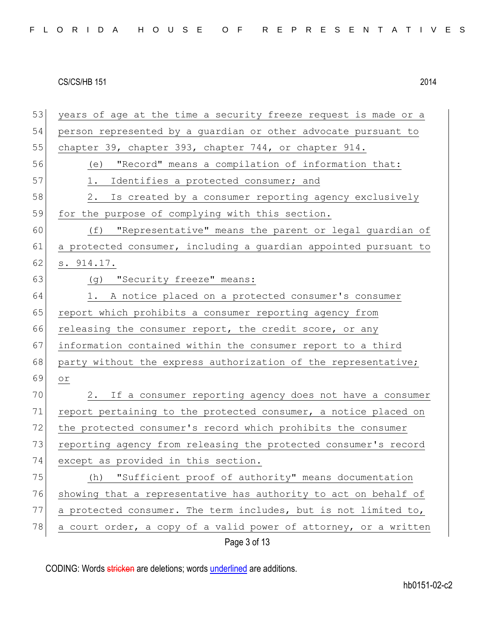|  |  |  |  |  |  | FLORIDA HOUSE OF REPRESENTATIVES |  |  |  |  |  |  |  |  |  |
|--|--|--|--|--|--|----------------------------------|--|--|--|--|--|--|--|--|--|
|  |  |  |  |  |  |                                  |  |  |  |  |  |  |  |  |  |

53 years of age at the time a security freeze request is made or a 54 person represented by a guardian or other advocate pursuant to 55 chapter 39, chapter 393, chapter 744, or chapter 914. 56 (e) "Record" means a compilation of information that: 57 1. Identifies a protected consumer; and 58 2. Is created by a consumer reporting agency exclusively 59 for the purpose of complying with this section. 60 (f) "Representative" means the parent or legal guardian of 61 a protected consumer, including a guardian appointed pursuant to  $62$  s.  $914.17$ . 63 (g) "Security freeze" means: 64 1. A notice placed on a protected consumer's consumer 65 report which prohibits a consumer reporting agency from 66 releasing the consumer report, the credit score, or any 67 information contained within the consumer report to a third 68 party without the express authorization of the representative; 69 or 70 2. If a consumer reporting agency does not have a consumer 71 report pertaining to the protected consumer, a notice placed on 72 the protected consumer's record which prohibits the consumer 73 reporting agency from releasing the protected consumer's record 74 except as provided in this section. 75 (h) "Sufficient proof of authority" means documentation 76 showing that a representative has authority to act on behalf of 77 a protected consumer. The term includes, but is not limited to, 78 a court order, a copy of a valid power of attorney, or a written

Page 3 of 13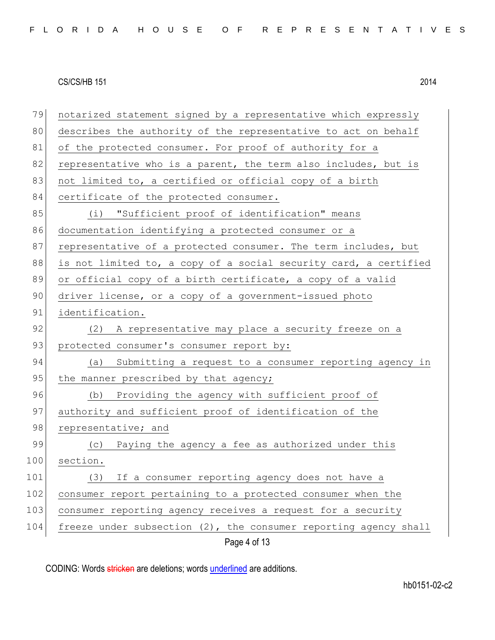| 79  | notarized statement signed by a representative which expressly   |
|-----|------------------------------------------------------------------|
| 80  | describes the authority of the representative to act on behalf   |
| 81  | of the protected consumer. For proof of authority for a          |
| 82  | representative who is a parent, the term also includes, but is   |
| 83  | not limited to, a certified or official copy of a birth          |
| 84  | certificate of the protected consumer.                           |
| 85  | (i) "Sufficient proof of identification" means                   |
| 86  | documentation identifying a protected consumer or a              |
| 87  | representative of a protected consumer. The term includes, but   |
| 88  | is not limited to, a copy of a social security card, a certified |
| 89  | or official copy of a birth certificate, a copy of a valid       |
| 90  | driver license, or a copy of a government-issued photo           |
| 91  | identification.                                                  |
| 92  | (2) A representative may place a security freeze on a            |
| 93  | protected consumer's consumer report by:                         |
| 94  | Submitting a request to a consumer reporting agency in<br>(a)    |
| 95  | the manner prescribed by that agency;                            |
| 96  | (b) Providing the agency with sufficient proof of                |
| 97  | authority and sufficient proof of identification of the          |
| 98  | representative; and                                              |
| 99  | (c) Paying the agency a fee as authorized under this             |
| 100 | section.                                                         |
| 101 | If a consumer reporting agency does not have a<br>(3)            |
| 102 | consumer report pertaining to a protected consumer when the      |
| 103 | consumer reporting agency receives a request for a security      |
| 104 | freeze under subsection (2), the consumer reporting agency shall |
|     | Page 4 of 13                                                     |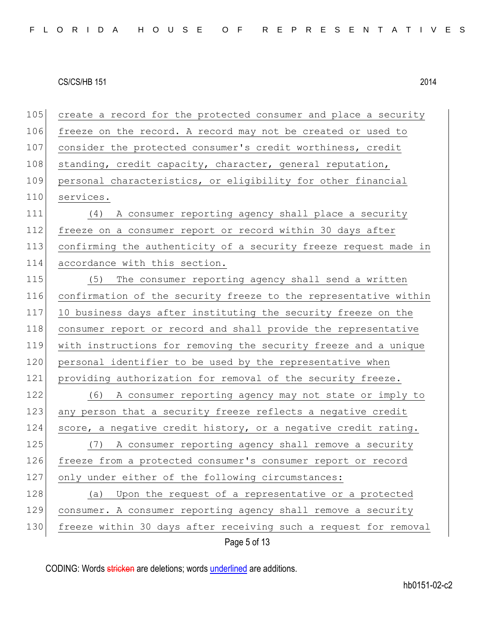Page 5 of 13 105 create a record for the protected consumer and place a security 106 freeze on the record. A record may not be created or used to 107 consider the protected consumer's credit worthiness, credit 108 standing, credit capacity, character, general reputation, 109 personal characteristics, or eligibility for other financial 110 services. 111 (4) A consumer reporting agency shall place a security 112 freeze on a consumer report or record within 30 days after 113 confirming the authenticity of a security freeze request made in 114 accordance with this section. 115 (5) The consumer reporting agency shall send a written 116 confirmation of the security freeze to the representative within 117 10 business days after instituting the security freeze on the 118 consumer report or record and shall provide the representative 119 with instructions for removing the security freeze and a unique 120 personal identifier to be used by the representative when 121 providing authorization for removal of the security freeze. 122 (6) A consumer reporting agency may not state or imply to 123 any person that a security freeze reflects a negative credit 124 score, a negative credit history, or a negative credit rating. 125 (7) A consumer reporting agency shall remove a security 126 freeze from a protected consumer's consumer report or record 127 only under either of the following circumstances: 128 (a) Upon the request of a representative or a protected 129 consumer. A consumer reporting agency shall remove a security 130 freeze within 30 days after receiving such a request for removal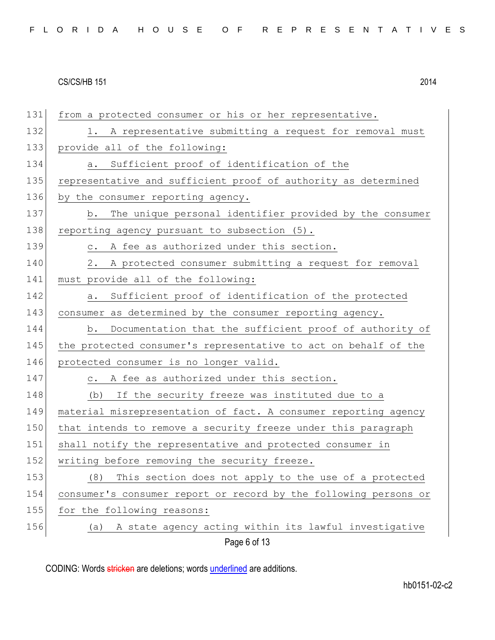| FLORIDA HOUSE OF REPRESENTATIVES |  |  |  |  |  |  |  |  |  |  |  |  |  |  |  |  |  |  |  |  |  |  |  |  |  |  |  |  |  |  |  |  |  |  |
|----------------------------------|--|--|--|--|--|--|--|--|--|--|--|--|--|--|--|--|--|--|--|--|--|--|--|--|--|--|--|--|--|--|--|--|--|--|
|----------------------------------|--|--|--|--|--|--|--|--|--|--|--|--|--|--|--|--|--|--|--|--|--|--|--|--|--|--|--|--|--|--|--|--|--|--|

| 131 | from a protected consumer or his or her representative.          |
|-----|------------------------------------------------------------------|
| 132 | 1. A representative submitting a request for removal must        |
| 133 | provide all of the following:                                    |
| 134 | a. Sufficient proof of identification of the                     |
| 135 | representative and sufficient proof of authority as determined   |
| 136 | by the consumer reporting agency.                                |
| 137 | The unique personal identifier provided by the consumer<br>b.    |
| 138 | reporting agency pursuant to subsection (5).                     |
| 139 | c. A fee as authorized under this section.                       |
| 140 | 2. A protected consumer submitting a request for removal         |
| 141 | must provide all of the following:                               |
| 142 | Sufficient proof of identification of the protected<br>a.        |
| 143 | consumer as determined by the consumer reporting agency.         |
| 144 | b. Documentation that the sufficient proof of authority of       |
| 145 | the protected consumer's representative to act on behalf of the  |
| 146 | protected consumer is no longer valid.                           |
| 147 | c. A fee as authorized under this section.                       |
| 148 | (b) If the security freeze was instituted due to a               |
| 149 | material misrepresentation of fact. A consumer reporting agency  |
| 150 | that intends to remove a security freeze under this paragraph    |
| 151 | shall notify the representative and protected consumer in        |
| 152 | writing before removing the security freeze.                     |
| 153 | This section does not apply to the use of a protected<br>(8)     |
| 154 | consumer's consumer report or record by the following persons or |
| 155 | for the following reasons:                                       |
| 156 | A state agency acting within its lawful investigative<br>(a)     |
|     | Page 6 of 13                                                     |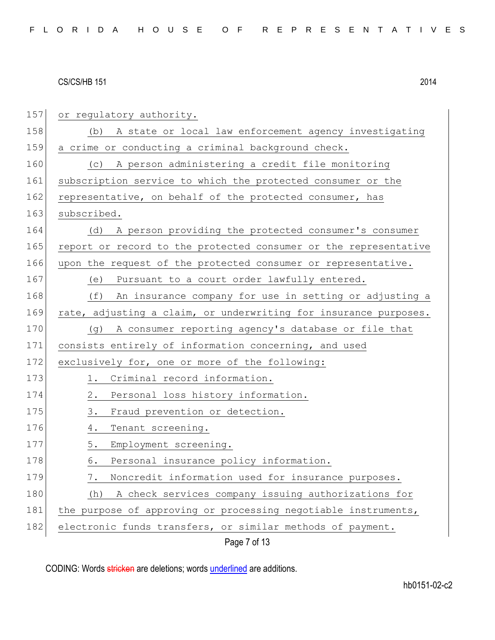| 157 | or regulatory authority.                                         |
|-----|------------------------------------------------------------------|
| 158 | A state or local law enforcement agency investigating<br>(b)     |
| 159 | a crime or conducting a criminal background check.               |
| 160 | (c) A person administering a credit file monitoring              |
| 161 | subscription service to which the protected consumer or the      |
| 162 | representative, on behalf of the protected consumer, has         |
| 163 | subscribed.                                                      |
| 164 | A person providing the protected consumer's consumer<br>(d)      |
| 165 | report or record to the protected consumer or the representative |
| 166 | upon the request of the protected consumer or representative.    |
| 167 | Pursuant to a court order lawfully entered.<br>(e)               |
| 168 | (f)<br>An insurance company for use in setting or adjusting a    |
| 169 | rate, adjusting a claim, or underwriting for insurance purposes. |
| 170 | (g) A consumer reporting agency's database or file that          |
| 171 | consists entirely of information concerning, and used            |
| 172 | exclusively for, one or more of the following:                   |
| 173 | Criminal record information.<br>1.                               |
| 174 | $2$ .<br>Personal loss history information.                      |
| 175 | Fraud prevention or detection.<br>3.                             |
| 176 | 4.<br>Tenant screening.                                          |
| 177 | 5.<br>Employment screening.                                      |
| 178 | 6.<br>Personal insurance policy information.                     |
| 179 | Noncredit information used for insurance purposes.<br>7.         |
| 180 | A check services company issuing authorizations for<br>(h)       |
| 181 | the purpose of approving or processing negotiable instruments,   |
| 182 | electronic funds transfers, or similar methods of payment.       |
|     | Page 7 of 13                                                     |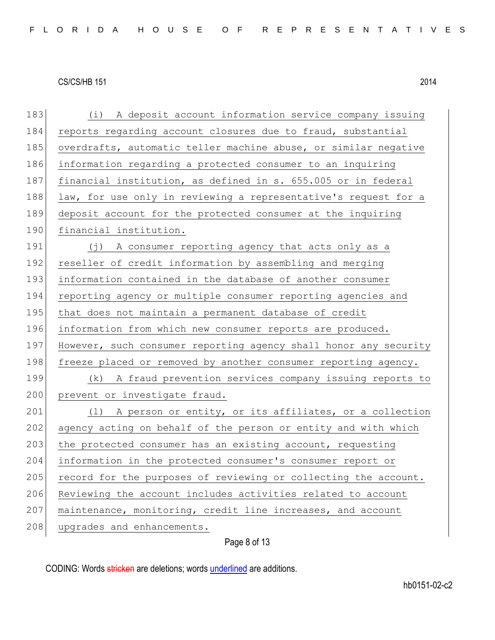| 183 | (i) A deposit account information service company issuing        |
|-----|------------------------------------------------------------------|
| 184 | reports regarding account closures due to fraud, substantial     |
| 185 | overdrafts, automatic teller machine abuse, or similar negative  |
| 186 | information regarding a protected consumer to an inquiring       |
| 187 | financial institution, as defined in s. 655.005 or in federal    |
| 188 | law, for use only in reviewing a representative's request for a  |
| 189 | deposit account for the protected consumer at the inquiring      |
| 190 | financial institution.                                           |
| 191 | (j) A consumer reporting agency that acts only as a              |
| 192 | reseller of credit information by assembling and merging         |
| 193 | information contained in the database of another consumer        |
| 194 | reporting agency or multiple consumer reporting agencies and     |
| 195 | that does not maintain a permanent database of credit            |
| 196 | information from which new consumer reports are produced.        |
| 197 | However, such consumer reporting agency shall honor any security |
| 198 | freeze placed or removed by another consumer reporting agency.   |
| 199 | A fraud prevention services company issuing reports to<br>(k)    |
| 200 | prevent or investigate fraud.                                    |
| 201 | (1) A person or entity, or its affiliates, or a collection       |
| 202 | agency acting on behalf of the person or entity and with which   |
| 203 | the protected consumer has an existing account, requesting       |
| 204 | information in the protected consumer's consumer report or       |
| 205 | record for the purposes of reviewing or collecting the account.  |
| 206 | Reviewing the account includes activities related to account     |
| 207 | maintenance, monitoring, credit line increases, and account      |
| 208 | upgrades and enhancements.                                       |

Page 8 of 13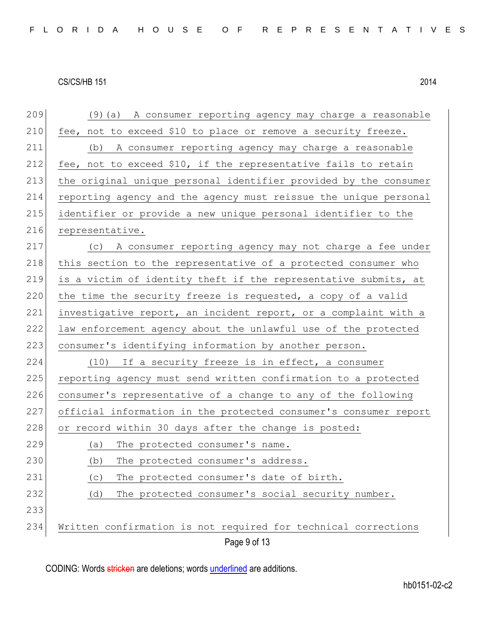| 209 | (9) (a) A consumer reporting agency may charge a reasonable      |
|-----|------------------------------------------------------------------|
| 210 | fee, not to exceed \$10 to place or remove a security freeze.    |
| 211 | A consumer reporting agency may charge a reasonable<br>(b)       |
| 212 | fee, not to exceed \$10, if the representative fails to retain   |
| 213 | the original unique personal identifier provided by the consumer |
| 214 | reporting agency and the agency must reissue the unique personal |
| 215 | identifier or provide a new unique personal identifier to the    |
| 216 | representative.                                                  |
| 217 | (c) A consumer reporting agency may not charge a fee under       |
| 218 | this section to the representative of a protected consumer who   |
| 219 | is a victim of identity theft if the representative submits, at  |
| 220 | the time the security freeze is requested, a copy of a valid     |
| 221 | investigative report, an incident report, or a complaint with a  |
| 222 | law enforcement agency about the unlawful use of the protected   |
| 223 | consumer's identifying information by another person.            |
| 224 | (10) If a security freeze is in effect, a consumer               |
| 225 | reporting agency must send written confirmation to a protected   |
| 226 | consumer's representative of a change to any of the following    |
| 227 | official information in the protected consumer's consumer report |
| 228 | or record within 30 days after the change is posted:             |
| 229 | The protected consumer's name.<br>(a)                            |
| 230 | The protected consumer's address.<br>(b)                         |
| 231 | The protected consumer's date of birth.<br>(C)                   |
| 232 | The protected consumer's social security number.<br>(d)          |
| 233 |                                                                  |
| 234 | Written confirmation is not required for technical corrections   |
|     | Page 9 of 13                                                     |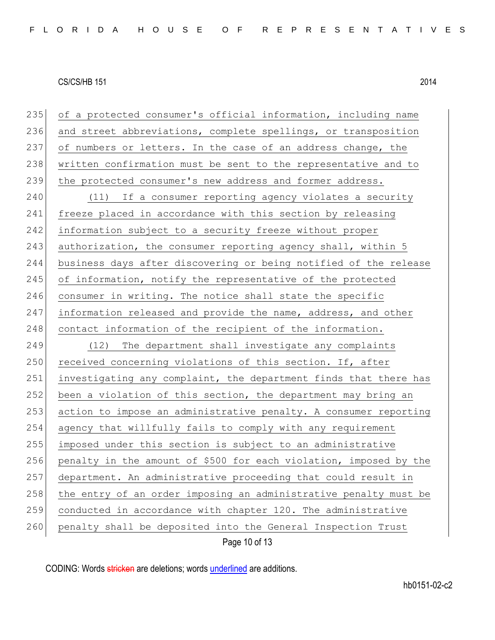| 235 | of a protected consumer's official information, including name    |
|-----|-------------------------------------------------------------------|
| 236 | and street abbreviations, complete spellings, or transposition    |
| 237 | of numbers or letters. In the case of an address change, the      |
| 238 | written confirmation must be sent to the representative and to    |
| 239 | the protected consumer's new address and former address.          |
| 240 | (11) If a consumer reporting agency violates a security           |
| 241 | freeze placed in accordance with this section by releasing        |
| 242 | information subject to a security freeze without proper           |
| 243 | authorization, the consumer reporting agency shall, within 5      |
| 244 | business days after discovering or being notified of the release  |
| 245 | of information, notify the representative of the protected        |
| 246 | consumer in writing. The notice shall state the specific          |
| 247 | information released and provide the name, address, and other     |
| 248 | contact information of the recipient of the information.          |
| 249 | (12) The department shall investigate any complaints              |
| 250 | received concerning violations of this section. If, after         |
| 251 | investigating any complaint, the department finds that there has  |
| 252 | been a violation of this section, the department may bring an     |
| 253 | action to impose an administrative penalty. A consumer reporting  |
| 254 | agency that willfully fails to comply with any requirement        |
| 255 | imposed under this section is subject to an administrative        |
| 256 | penalty in the amount of \$500 for each violation, imposed by the |
| 257 | department. An administrative proceeding that could result in     |
| 258 | the entry of an order imposing an administrative penalty must be  |
| 259 | conducted in accordance with chapter 120. The administrative      |
| 260 | penalty shall be deposited into the General Inspection Trust      |
|     | Page 10 of 13                                                     |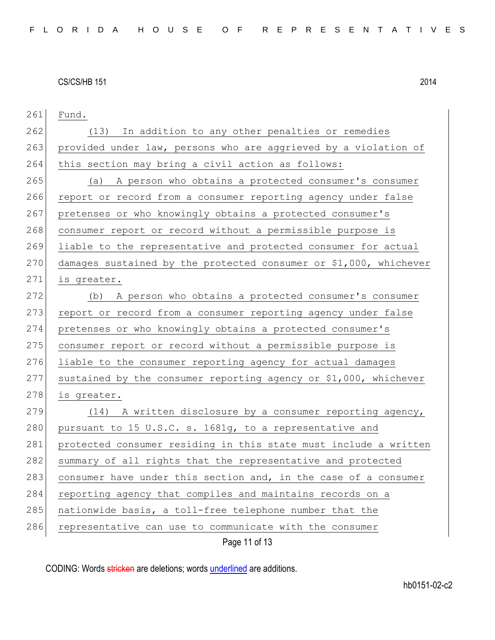| 261 | Fund.                                                             |
|-----|-------------------------------------------------------------------|
| 262 | (13) In addition to any other penalties or remedies               |
| 263 | provided under law, persons who are aggrieved by a violation of   |
| 264 | this section may bring a civil action as follows:                 |
| 265 | A person who obtains a protected consumer's consumer<br>(a)       |
| 266 | report or record from a consumer reporting agency under false     |
| 267 | pretenses or who knowingly obtains a protected consumer's         |
| 268 | consumer report or record without a permissible purpose is        |
| 269 | liable to the representative and protected consumer for actual    |
| 270 | damages sustained by the protected consumer or \$1,000, whichever |
| 271 | is greater.                                                       |
| 272 | A person who obtains a protected consumer's consumer<br>(b)       |
| 273 | report or record from a consumer reporting agency under false     |
| 274 | pretenses or who knowingly obtains a protected consumer's         |
| 275 | consumer report or record without a permissible purpose is        |
| 276 | liable to the consumer reporting agency for actual damages        |
| 277 | sustained by the consumer reporting agency or \$1,000, whichever  |
| 278 | is greater.                                                       |
| 279 | (14) A written disclosure by a consumer reporting agency,         |
| 280 | pursuant to 15 U.S.C. s. 1681g, to a representative and           |
| 281 | protected consumer residing in this state must include a written  |
| 282 | summary of all rights that the representative and protected       |
| 283 | consumer have under this section and, in the case of a consumer   |
| 284 | reporting agency that compiles and maintains records on a         |
| 285 | nationwide basis, a toll-free telephone number that the           |
| 286 | representative can use to communicate with the consumer           |
|     | Page 11 of 13                                                     |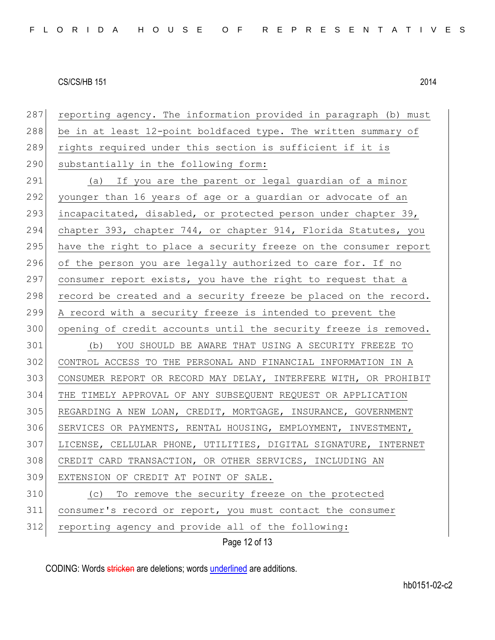| 287 | reporting agency. The information provided in paragraph (b) must |
|-----|------------------------------------------------------------------|
| 288 | be in at least 12-point boldfaced type. The written summary of   |
| 289 | rights required under this section is sufficient if it is        |
| 290 | substantially in the following form:                             |
| 291 | (a) If you are the parent or legal guardian of a minor           |
| 292 | younger than 16 years of age or a guardian or advocate of an     |
| 293 | incapacitated, disabled, or protected person under chapter 39,   |
| 294 | chapter 393, chapter 744, or chapter 914, Florida Statutes, you  |
| 295 | have the right to place a security freeze on the consumer report |
| 296 | of the person you are legally authorized to care for. If no      |
| 297 | consumer report exists, you have the right to request that a     |
| 298 | record be created and a security freeze be placed on the record. |
| 299 | A record with a security freeze is intended to prevent the       |
| 300 | opening of credit accounts until the security freeze is removed. |
| 301 | (b) YOU SHOULD BE AWARE THAT USING A SECURITY FREEZE TO          |
| 302 | CONTROL ACCESS TO THE PERSONAL AND FINANCIAL INFORMATION IN A    |
| 303 | CONSUMER REPORT OR RECORD MAY DELAY, INTERFERE WITH, OR PROHIBIT |
| 304 | THE TIMELY APPROVAL OF ANY SUBSEQUENT REQUEST OR APPLICATION     |
| 305 | REGARDING A NEW LOAN, CREDIT, MORTGAGE, INSURANCE, GOVERNMENT    |
| 306 | SERVICES OR PAYMENTS, RENTAL HOUSING, EMPLOYMENT, INVESTMENT,    |
| 307 | LICENSE, CELLULAR PHONE, UTILITIES, DIGITAL SIGNATURE, INTERNET  |
| 308 | CREDIT CARD TRANSACTION, OR OTHER SERVICES, INCLUDING AN         |
| 309 | EXTENSION OF CREDIT AT POINT OF SALE.                            |
| 310 | To remove the security freeze on the protected<br>(C)            |
| 311 | consumer's record or report, you must contact the consumer       |
| 312 | reporting agency and provide all of the following:               |
|     | Page 12 of 13                                                    |